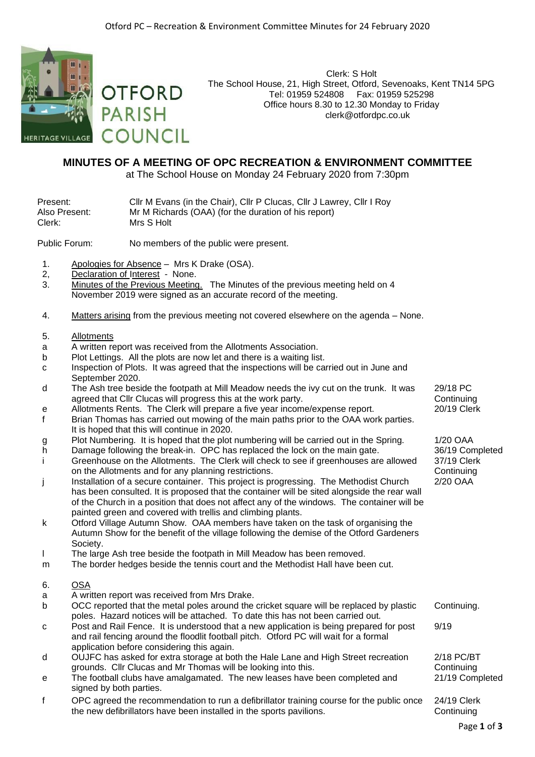Clerk: S Holt

clerk@otfordpc.co.uk



The School House, 21, High Street, Otford, Sevenoaks, Kent TN14 5PG **OTFORD** Tel: 01959 524808 Fax: 01959 525298 Office hours 8.30 to 12.30 Monday to Friday **PARISH COUNCIL** 

## **MINUTES OF A MEETING OF OPC RECREATION & ENVIRONMENT COMMITTEE**

at The School House on Monday 24 February 2020 from 7:30pm

| Present:      | Cllr M Evans (in the Chair), Cllr P Clucas, Cllr J Lawrey, Cllr I Roy |
|---------------|-----------------------------------------------------------------------|
| Also Present: | Mr M Richards (OAA) (for the duration of his report)                  |
| Clerk:        | Mrs S Holt                                                            |

Public Forum: No members of the public were present.

- 1. Apologies for Absence Mrs K Drake (OSA).
- 2, Declaration of Interest None.
- 3. Minutes of the Previous Meeting. The Minutes of the previous meeting held on 4 November 2019 were signed as an accurate record of the meeting.
- 4. Matters arising from the previous meeting not covered elsewhere on the agenda None.
- 5. Allotments
- a A written report was received from the Allotments Association.
- b Plot Lettings. All the plots are now let and there is a waiting list.
- c Inspection of Plots. It was agreed that the inspections will be carried out in June and September 2020.
- d The Ash tree beside the footpath at Mill Meadow needs the ivy cut on the trunk. It was agreed that Cllr Clucas will progress this at the work party.
- e Allotments Rents. The Clerk will prepare a five year income/expense report. 20/19 Clerk
- f Brian Thomas has carried out mowing of the main paths prior to the OAA work parties. It is hoped that this will continue in 2020.
- g Plot Numbering. It is hoped that the plot numbering will be carried out in the Spring. 1/20 OAA<br>h Damage following the break-in. OPC has replaced the lock on the main gate. 36/19 Completed
- h Damage following the break-in. OPC has replaced the lock on the main gate. i Greenhouse on the Allotments. The Clerk will check to see if greenhouses are allowed on the Allotments and for any planning restrictions.
- j Installation of a secure container. This project is progressing. The Methodist Church has been consulted. It is proposed that the container will be sited alongside the rear wall of the Church in a position that does not affect any of the windows. The container will be painted green and covered with trellis and climbing plants.
- k Otford Village Autumn Show. OAA members have taken on the task of organising the Autumn Show for the benefit of the village following the demise of the Otford Gardeners Society.
- l The large Ash tree beside the footpath in Mill Meadow has been removed.
- m The border hedges beside the tennis court and the Methodist Hall have been cut.

## 6. OSA

- a A written report was received from Mrs Drake.
- b OCC reported that the metal poles around the cricket square will be replaced by plastic poles. Hazard notices will be attached. To date this has not been carried out. Continuing.
- c Post and Rail Fence. It is understood that a new application is being prepared for post and rail fencing around the floodlit football pitch. Otford PC will wait for a formal application before considering this again.
- d OUJFC has asked for extra storage at both the Hale Lane and High Street recreation grounds. Cllr Clucas and Mr Thomas will be looking into this.
- e The football clubs have amalgamated. The new leases have been completed and signed by both parties.
- f OPC agreed the recommendation to run a defibrillator training course for the public once the new defibrillators have been installed in the sports pavilions.

29/18 PC **Continuing** 

37/19 Clerk **Continuing** 2/20 OAA

9/19

2/18 PC/BT **Continuing** 

24/19 Clerk **Continuing** 

21/19 Completed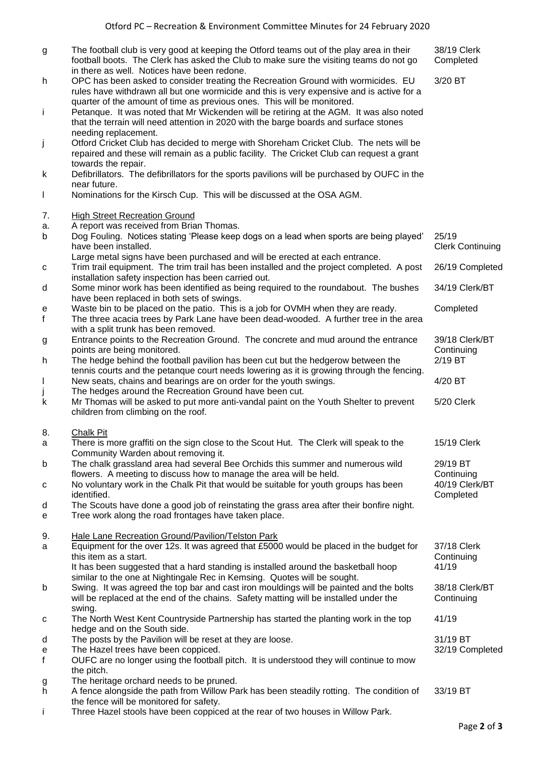- g The football club is very good at keeping the Otford teams out of the play area in their football boots. The Clerk has asked the Club to make sure the visiting teams do not go in there as well. Notices have been redone. 38/19 Clerk Completed h OPC has been asked to consider treating the Recreation Ground with wormicides. EU rules have withdrawn all but one wormicide and this is very expensive and is active for a quarter of the amount of time as previous ones. This will be monitored. 3/20 BT i Petanque. It was noted that Mr Wickenden will be retiring at the AGM. It was also noted that the terrain will need attention in 2020 with the barge boards and surface stones needing replacement. j Otford Cricket Club has decided to merge with Shoreham Cricket Club. The nets will be repaired and these will remain as a public facility. The Cricket Club can request a grant towards the repair. k Defibrillators. The defibrillators for the sports pavilions will be purchased by OUFC in the near future. l Nominations for the Kirsch Cup. This will be discussed at the OSA AGM. 7. High Street Recreation Ground a. A report was received from Brian Thomas. b Dog Fouling. Notices stating 'Please keep dogs on a lead when sports are being played' have been installed. Large metal signs have been purchased and will be erected at each entrance. 25/19 Clerk Continuing c Trim trail equipment. The trim trail has been installed and the project completed. A post installation safety inspection has been carried out. 26/19 Completed d Some minor work has been identified as being required to the roundabout. The bushes have been replaced in both sets of swings. 34/19 Clerk/BT e Waste bin to be placed on the patio. This is a job for OVMH when they are ready. Completed f The three acacia trees by Park Lane have been dead-wooded. A further tree in the area with a split trunk has been removed. g Entrance points to the Recreation Ground. The concrete and mud around the entrance points are being monitored. 39/18 Clerk/BT **Continuing** h The hedge behind the football pavilion has been cut but the hedgerow between the tennis courts and the petanque court needs lowering as it is growing through the fencing. 2/19 BT l New seats, chains and bearings are on order for the youth swings. 4/20 BT The hedges around the Recreation Ground have been cut. k Mr Thomas will be asked to put more anti-vandal paint on the Youth Shelter to prevent children from climbing on the roof. 5/20 Clerk 8. Chalk Pit a There is more graffiti on the sign close to the Scout Hut. The Clerk will speak to the Community Warden about removing it. 15/19 Clerk b The chalk grassland area had several Bee Orchids this summer and numerous wild flowers. A meeting to discuss how to manage the area will be held. 29/19 BT **Continuing** c No voluntary work in the Chalk Pit that would be suitable for youth groups has been identified. 40/19 Clerk/BT Completed d The Scouts have done a good job of reinstating the grass area after their bonfire night. e Tree work along the road frontages have taken place. 9. Hale Lane Recreation Ground/Pavilion/Telston Park a Equipment for the over 12s. It was agreed that £5000 would be placed in the budget for this item as a start. It has been suggested that a hard standing is installed around the basketball hoop similar to the one at Nightingale Rec in Kemsing. Quotes will be sought. 37/18 Clerk **Continuing** 41/19 b Swing. It was agreed the top bar and cast iron mouldings will be painted and the bolts will be replaced at the end of the chains. Safety matting will be installed under the swing. 38/18 Clerk/BT **Continuing** c The North West Kent Countryside Partnership has started the planting work in the top hedge and on the South side. 41/19 d The posts by the Pavilion will be reset at they are loose. 31/19 BT e The Hazel trees have been coppiced. 32/19 Completed f OUFC are no longer using the football pitch. It is understood they will continue to mow the pitch. g The heritage orchard needs to be pruned.
- h A fence alongside the path from Willow Park has been steadily rotting. The condition of the fence will be monitored for safety. 33/19 BT
- i Three Hazel stools have been coppiced at the rear of two houses in Willow Park.